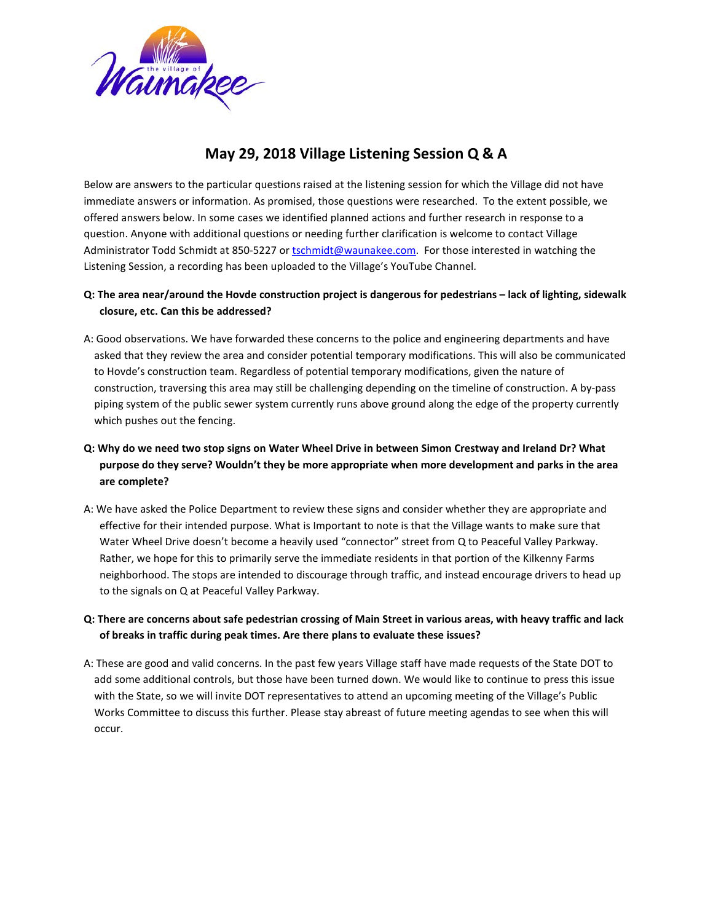

# **May 29, 2018 Village Listening Session Q & A**

Below are answers to the particular questions raised at the listening session for which the Village did not have immediate answers or information. As promised, those questions were researched. To the extent possible, we offered answers below. In some cases we identified planned actions and further research in response to a question. Anyone with additional questions or needing further clarification is welcome to contact Village Administrator Todd Schmidt at 850-5227 or [tschmidt@waunakee.com.](mailto:tschmidt@waunakee.com) For those interested in watching the Listening Session, a recording has been uploaded to the Village's YouTube Channel.

## **Q: The area near/around the Hovde construction project is dangerous for pedestrians – lack of lighting, sidewalk closure, etc. Can this be addressed?**

A: Good observations. We have forwarded these concerns to the police and engineering departments and have asked that they review the area and consider potential temporary modifications. This will also be communicated to Hovde's construction team. Regardless of potential temporary modifications, given the nature of construction, traversing this area may still be challenging depending on the timeline of construction. A by-pass piping system of the public sewer system currently runs above ground along the edge of the property currently which pushes out the fencing.

## **Q: Why do we need two stop signs on Water Wheel Drive in between Simon Crestway and Ireland Dr? What purpose do they serve? Wouldn't they be more appropriate when more development and parks in the area are complete?**

A: We have asked the Police Department to review these signs and consider whether they are appropriate and effective for their intended purpose. What is Important to note is that the Village wants to make sure that Water Wheel Drive doesn't become a heavily used "connector" street from Q to Peaceful Valley Parkway. Rather, we hope for this to primarily serve the immediate residents in that portion of the Kilkenny Farms neighborhood. The stops are intended to discourage through traffic, and instead encourage drivers to head up to the signals on Q at Peaceful Valley Parkway.

## **Q: There are concerns about safe pedestrian crossing of Main Street in various areas, with heavy traffic and lack of breaks in traffic during peak times. Are there plans to evaluate these issues?**

A: These are good and valid concerns. In the past few years Village staff have made requests of the State DOT to add some additional controls, but those have been turned down. We would like to continue to press this issue with the State, so we will invite DOT representatives to attend an upcoming meeting of the Village's Public Works Committee to discuss this further. Please stay abreast of future meeting agendas to see when this will occur.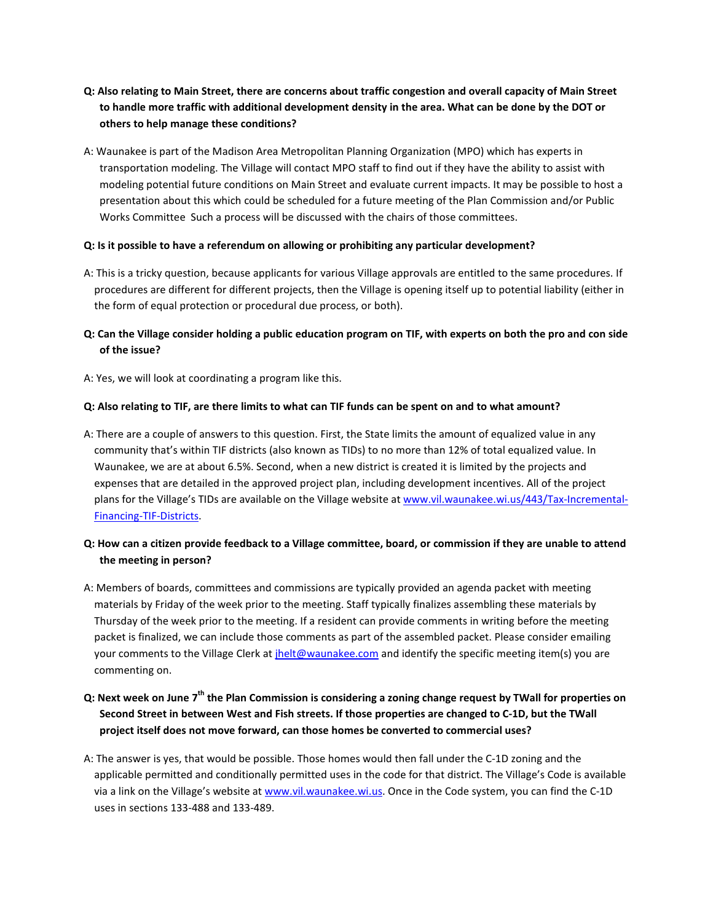- **Q: Also relating to Main Street, there are concerns about traffic congestion and overall capacity of Main Street to handle more traffic with additional development density in the area. What can be done by the DOT or others to help manage these conditions?**
- A: Waunakee is part of the Madison Area Metropolitan Planning Organization (MPO) which has experts in transportation modeling. The Village will contact MPO staff to find out if they have the ability to assist with modeling potential future conditions on Main Street and evaluate current impacts. It may be possible to host a presentation about this which could be scheduled for a future meeting of the Plan Commission and/or Public Works Committee Such a process will be discussed with the chairs of those committees.

#### **Q: Is it possible to have a referendum on allowing or prohibiting any particular development?**

A: This is a tricky question, because applicants for various Village approvals are entitled to the same procedures. If procedures are different for different projects, then the Village is opening itself up to potential liability (either in the form of equal protection or procedural due process, or both).

## **Q: Can the Village consider holding a public education program on TIF, with experts on both the pro and con side of the issue?**

A: Yes, we will look at coordinating a program like this.

#### **Q: Also relating to TIF, are there limits to what can TIF funds can be spent on and to what amount?**

A: There are a couple of answers to this question. First, the State limits the amount of equalized value in any community that's within TIF districts (also known as TIDs) to no more than 12% of total equalized value. In Waunakee, we are at about 6.5%. Second, when a new district is created it is limited by the projects and expenses that are detailed in the approved project plan, including development incentives. All of the project plans for the Village's TIDs are available on the Village website a[t www.vil.waunakee.wi.us/443/Tax-Incremental-](http://www.vil.waunakee.wi.us/443/Tax-Incremental-Financing-TIF-Districts)[Financing-TIF-Districts.](http://www.vil.waunakee.wi.us/443/Tax-Incremental-Financing-TIF-Districts)

## **Q: How can a citizen provide feedback to a Village committee, board, or commission if they are unable to attend the meeting in person?**

- A: Members of boards, committees and commissions are typically provided an agenda packet with meeting materials by Friday of the week prior to the meeting. Staff typically finalizes assembling these materials by Thursday of the week prior to the meeting. If a resident can provide comments in writing before the meeting packet is finalized, we can include those comments as part of the assembled packet. Please consider emailing your comments to the Village Clerk at *jhelt@waunakee.com* and identify the specific meeting item(s) you are commenting on.
- **Q: Next week on June 7th the Plan Commission is considering a zoning change request by TWall for properties on Second Street in between West and Fish streets. If those properties are changed to C-1D, but the TWall project itself does not move forward, can those homes be converted to commercial uses?**
- A: The answer is yes, that would be possible. Those homes would then fall under the C-1D zoning and the applicable permitted and conditionally permitted uses in the code for that district. The Village's Code is available via a link on the Village's website a[t www.vil.waunakee.wi.us.](http://www.vil.waunakee.wi.us/) Once in the Code system, you can find the C-1D uses in sections 133-488 and 133-489.